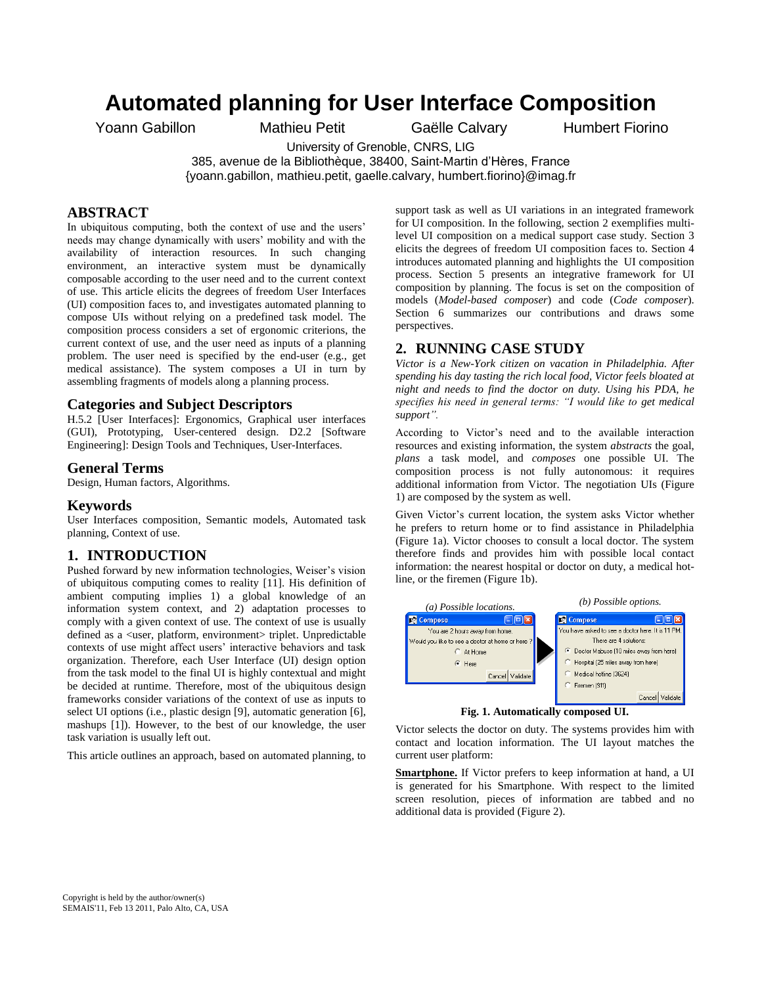# **Automated planning for User Interface Composition**

Yoann Gabillon Mathieu Petit Gaëlle Calvary Humbert Fiorino

University of Grenoble, CNRS, LIG

385, avenue de la Bibliothèque, 38400, Saint-Martin d'Hères, France

{yoann.gabillon, mathieu.petit, gaelle.calvary, humbert.fiorino}@imag.fr

# **ABSTRACT**

In ubiquitous computing, both the context of use and the users' needs may change dynamically with users' mobility and with the availability of interaction resources. In such changing environment, an interactive system must be dynamically composable according to the user need and to the current context of use. This article elicits the degrees of freedom User Interfaces (UI) composition faces to, and investigates automated planning to compose UIs without relying on a predefined task model. The composition process considers a set of ergonomic criterions, the current context of use, and the user need as inputs of a planning problem. The user need is specified by the end-user (e.g., get medical assistance). The system composes a UI in turn by assembling fragments of models along a planning process.

## **Categories and Subject Descriptors**

H.5.2 [User Interfaces]: Ergonomics, Graphical user interfaces (GUI), Prototyping, User-centered design. D2.2 [Software Engineering]: Design Tools and Techniques, User-Interfaces.

#### **General Terms**

Design, Human factors, Algorithms.

## **Keywords**

User Interfaces composition, Semantic models, Automated task planning, Context of use.

### **1. INTRODUCTION**

Pushed forward by new information technologies, Weiser's vision of ubiquitous computing comes to reality [11]. His definition of ambient computing implies 1) a global knowledge of an information system context, and 2) adaptation processes to comply with a given context of use. The context of use is usually defined as a <user, platform, environment> triplet. Unpredictable contexts of use might affect users' interactive behaviors and task organization. Therefore, each User Interface (UI) design option from the task model to the final UI is highly contextual and might be decided at runtime. Therefore, most of the ubiquitous design frameworks consider variations of the context of use as inputs to select UI options (i.e., plastic design [9], automatic generation [6], mashups [1]). However, to the best of our knowledge, the user task variation is usually left out.

This article outlines an approach, based on automated planning, to

support task as well as UI variations in an integrated framework for UI composition. In the following, section 2 exemplifies multilevel UI composition on a medical support case study. Section 3 elicits the degrees of freedom UI composition faces to. Section 4 introduces automated planning and highlights the UI composition process. Section 5 presents an integrative framework for UI composition by planning. The focus is set on the composition of models (*Model-based composer*) and code (*Code composer*). Section 6 summarizes our contributions and draws some perspectives.

# **2. RUNNING CASE STUDY**

*Victor is a New-York citizen on vacation in Philadelphia. After spending his day tasting the rich local food, Victor feels bloated at night and needs to find the doctor on duty. Using his PDA, he specifies his need in general terms: "I would like to get medical support".*

According to Victor's need and to the available interaction resources and existing information, the system *abstracts* the goal, *plans* a task model, and *composes* one possible UI. The composition process is not fully autonomous: it requires additional information from Victor. The negotiation UIs (Figure 1) are composed by the system as well.

Given Victor's current location, the system asks Victor whether he prefers to return home or to find assistance in Philadelphia (Figure 1a). Victor chooses to consult a local doctor. The system therefore finds and provides him with possible local contact information: the nearest hospital or doctor on duty, a medical hotline, or the firemen (Figure 1b).



**Fig. 1. Automatically composed UI.** 

Victor selects the doctor on duty. The systems provides him with contact and location information. The UI layout matches the current user platform:

**Smartphone.** If Victor prefers to keep information at hand, a UI is generated for his Smartphone. With respect to the limited screen resolution, pieces of information are tabbed and no additional data is provided (Figure 2).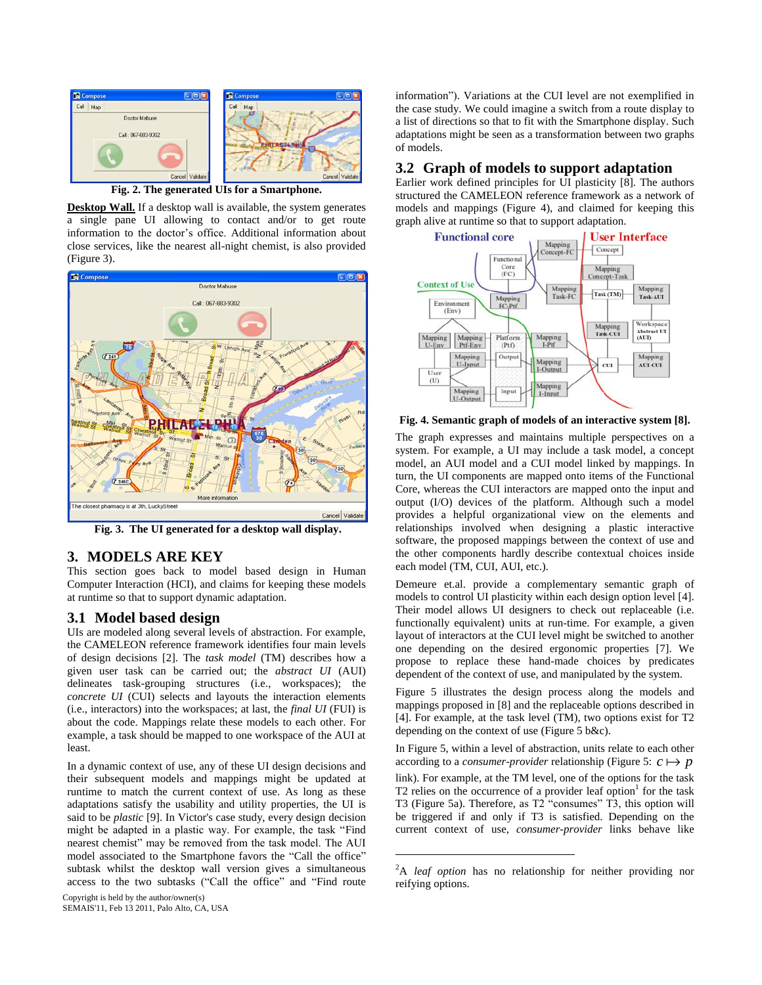

**Fig. 2. The generated UIs for a Smartphone.** 

**Desktop Wall.** If a desktop wall is available, the system generates a single pane UI allowing to contact and/or to get route information to the doctor's office. Additional information about close services, like the nearest all-night chemist, is also provided (Figure 3).



**Fig. 3. The UI generated for a desktop wall display.** 

## **3. MODELS ARE KEY**

This section goes back to model based design in Human Computer Interaction (HCI), and claims for keeping these models at runtime so that to support dynamic adaptation.

## **3.1 Model based design**

UIs are modeled along several levels of abstraction. For example, the CAMELEON reference framework identifies four main levels of design decisions [2]. The *task model* (TM) describes how a given user task can be carried out; the *abstract UI* (AUI) delineates task-grouping structures (i.e., workspaces); the *concrete UI* (CUI) selects and layouts the interaction elements (i.e., interactors) into the workspaces; at last, the *final UI* (FUI) is about the code. Mappings relate these models to each other. For example, a task should be mapped to one workspace of the AUI at least.

In a dynamic context of use, any of these UI design decisions and their subsequent models and mappings might be updated at runtime to match the current context of use. As long as these adaptations satisfy the usability and utility properties, the UI is said to be *plastic* [9]. In Victor's case study, every design decision might be adapted in a plastic way. For example, the task "Find nearest chemist" may be removed from the task model. The AUI model associated to the Smartphone favors the "Call the office" subtask whilst the desktop wall version gives a simultaneous access to the two subtasks ("Call the office" and "Find route

Copyright is held by the author/owner(s) SEMAIS'11, Feb 13 2011, Palo Alto, CA, USA information"). Variations at the CUI level are not exemplified in the case study. We could imagine a switch from a route display to a list of directions so that to fit with the Smartphone display. Such adaptations might be seen as a transformation between two graphs of models.

## **3.2 Graph of models to support adaptation**

Earlier work defined principles for UI plasticity [8]. The authors structured the CAMELEON reference framework as a network of models and mappings (Figure 4), and claimed for keeping this graph alive at runtime so that to support adaptation.



**Fig. 4. Semantic graph of models of an interactive system [8].** 

The graph expresses and maintains multiple perspectives on a system. For example, a UI may include a task model, a concept model, an AUI model and a CUI model linked by mappings. In turn, the UI components are mapped onto items of the Functional Core, whereas the CUI interactors are mapped onto the input and output (I/O) devices of the platform. Although such a model provides a helpful organizational view on the elements and relationships involved when designing a plastic interactive software, the proposed mappings between the context of use and the other components hardly describe contextual choices inside each model (TM, CUI, AUI, etc.).

Demeure et.al. provide a complementary semantic graph of models to control UI plasticity within each design option level [4]. Their model allows UI designers to check out replaceable (i.e. functionally equivalent) units at run-time. For example, a given layout of interactors at the CUI level might be switched to another one depending on the desired ergonomic properties [7]. We propose to replace these hand-made choices by predicates dependent of the context of use, and manipulated by the system.

Figure 5 illustrates the design process along the models and mappings proposed in [8] and the replaceable options described in [4]. For example, at the task level (TM), two options exist for T2 depending on the context of use (Figure 5 b&c).

In Figure 5, within a level of abstraction, units relate to each other according to a *consumer-provider* relationship (Figure 5:  $c \mapsto p$ link). For example, at the TM level, one of the options for the task T2 relies on the occurrence of a provider leaf option<sup>1</sup> for the task T3 (Figure 5a). Therefore, as T2 "consumes" T3, this option will be triggered if and only if T3 is satisfied. Depending on the current context of use, *consumer-provider* links behave like

1

<sup>2</sup>A *leaf option* has no relationship for neither providing nor reifying options.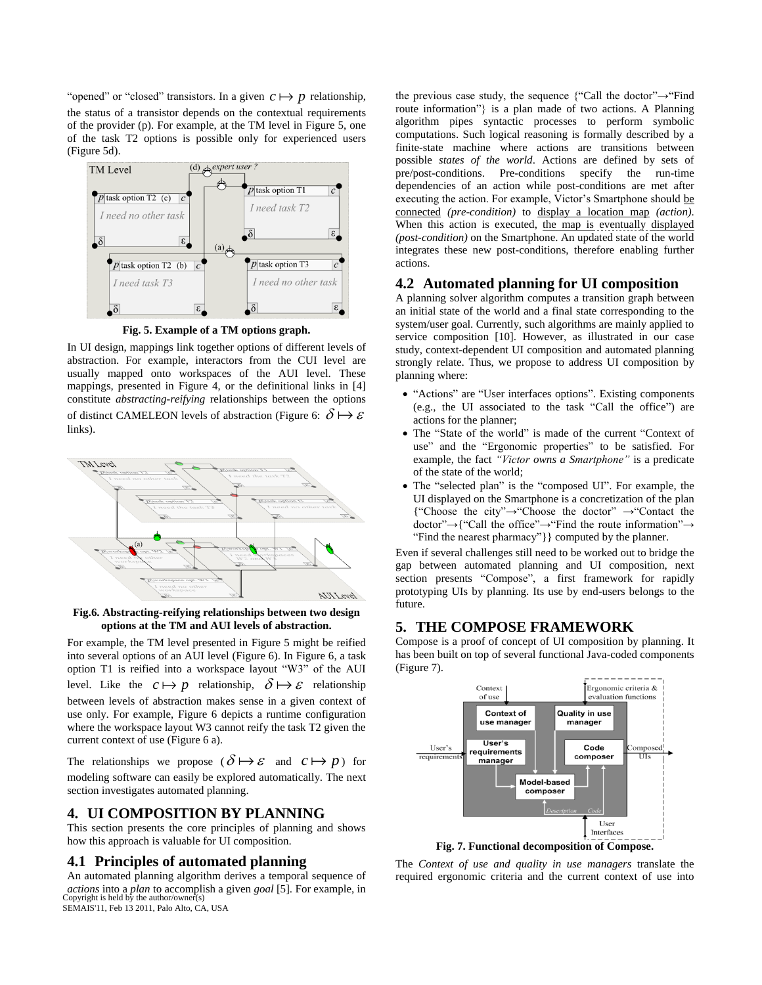"opened" or "closed" transistors. In a given  $c \mapsto p$  relationship, the status of a transistor depends on the contextual requirements of the provider (p). For example, at the TM level in Figure 5, one of the task T2 options is possible only for experienced users (Figure 5d).



**Fig. 5. Example of a TM options graph.**

In UI design, mappings link together options of different levels of abstraction. For example, interactors from the CUI level are usually mapped onto workspaces of the AUI level. These mappings, presented in Figure 4, or the definitional links in [4] constitute *abstracting-reifying* relationships between the options of distinct CAMELEON levels of abstraction (Figure 6:  $\delta \mapsto \varepsilon$ links).



**Fig.6. Abstracting-reifying relationships between two design options at the TM and AUI levels of abstraction.** 

For example, the TM level presented in Figure 5 might be reified into several options of an AUI level (Figure 6). In Figure 6, a task option T1 is reified into a workspace layout "W3" of the AUI level. Like the  $c \mapsto p$  relationship,  $\delta \mapsto \varepsilon$  relationship between levels of abstraction makes sense in a given context of use only. For example, Figure 6 depicts a runtime configuration where the workspace layout W3 cannot reify the task T2 given the current context of use (Figure 6 a).

The relationships we propose  $(\delta \mapsto \varepsilon$  and  $c \mapsto p$  for modeling software can easily be explored automatically. The next section investigates automated planning.

# **4. UI COMPOSITION BY PLANNING**

This section presents the core principles of planning and shows how this approach is valuable for UI composition.

## **4.1 Principles of automated planning**

An automated planning algorithm derives a temporal sequence of *actions* into a *plan* to accomplish a given *goal* [5]. For example, in Copyright is held by the author/owner(s) SEMAIS'11, Feb 13 2011, Palo Alto, CA, USA

the previous case study, the sequence {"Call the doctor"→"Find route information"} is a plan made of two actions. A Planning algorithm pipes syntactic processes to perform symbolic computations. Such logical reasoning is formally described by a finite-state machine where actions are transitions between possible *states of the world*. Actions are defined by sets of pre/post-conditions. Pre-conditions specify the run-time dependencies of an action while post-conditions are met after executing the action. For example, Victor's Smartphone should be connected *(pre-condition)* to display a location map *(action)*. When this action is executed, the map is eventually displayed *(post-condition)* on the Smartphone. An updated state of the world integrates these new post-conditions, therefore enabling further actions.

### **4.2 Automated planning for UI composition**

A planning solver algorithm computes a transition graph between an initial state of the world and a final state corresponding to the system/user goal. Currently, such algorithms are mainly applied to service composition [10]. However, as illustrated in our case study, context-dependent UI composition and automated planning strongly relate. Thus, we propose to address UI composition by planning where:

- "Actions" are "User interfaces options". Existing components (e.g., the UI associated to the task "Call the office") are actions for the planner;
- The "State of the world" is made of the current "Context of use" and the "Ergonomic properties" to be satisfied. For example, the fact *"Victor owns a Smartphone"* is a predicate of the state of the world;
- The "selected plan" is the "composed UI". For example, the UI displayed on the Smartphone is a concretization of the plan {"Choose the city"→"Choose the doctor" →"Contact the doctor"→{"Call the office"→"Find the route information"→ "Find the nearest pharmacy"}} computed by the planner.

Even if several challenges still need to be worked out to bridge the gap between automated planning and UI composition, next section presents "Compose", a first framework for rapidly prototyping UIs by planning. Its use by end-users belongs to the future.

# **5. THE COMPOSE FRAMEWORK**

Compose is a proof of concept of UI composition by planning. It has been built on top of several functional Java-coded components (Figure 7).



**Fig. 7. Functional decomposition of Compose.** 

The *Context of use and quality in use managers* translate the required ergonomic criteria and the current context of use into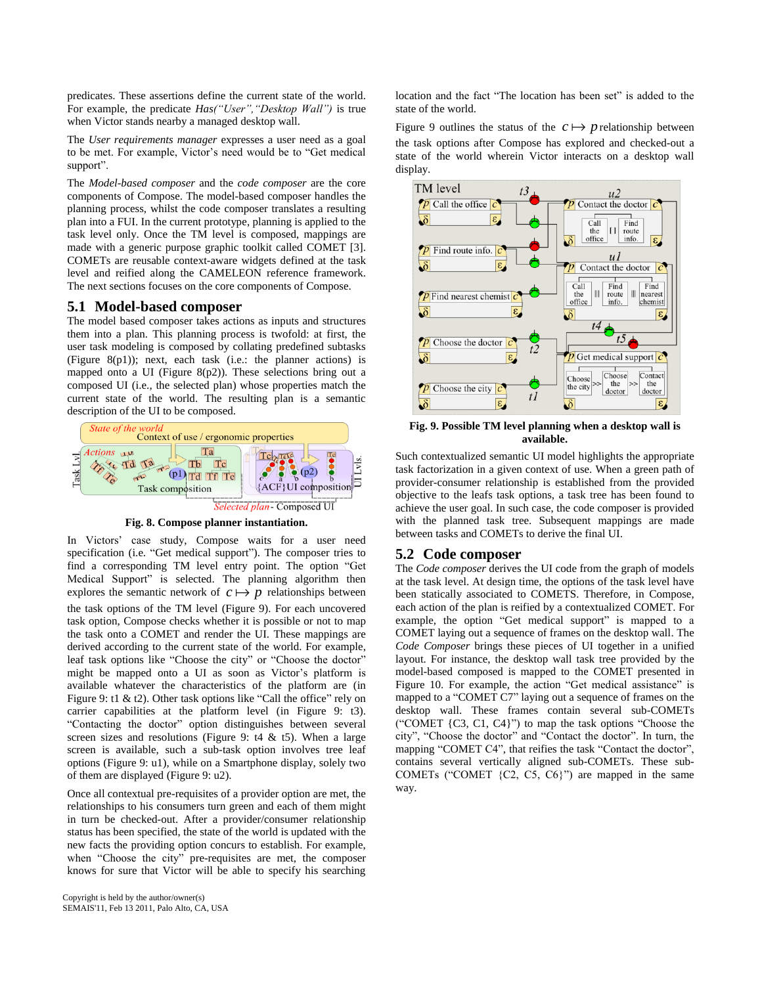predicates. These assertions define the current state of the world. For example, the predicate *Has("User","Desktop Wall")* is true when Victor stands nearby a managed desktop wall.

The *User requirements manager* expresses a user need as a goal to be met. For example, Victor's need would be to "Get medical support".

The *Model-based composer* and the *code composer* are the core components of Compose. The model-based composer handles the planning process, whilst the code composer translates a resulting plan into a FUI. In the current prototype, planning is applied to the task level only. Once the TM level is composed, mappings are made with a generic purpose graphic toolkit called COMET [3]. COMETs are reusable context-aware widgets defined at the task level and reified along the CAMELEON reference framework. The next sections focuses on the core components of Compose.

#### **5.1 Model-based composer**

The model based composer takes actions as inputs and structures them into a plan. This planning process is twofold: at first, the user task modeling is composed by collating predefined subtasks (Figure  $8(p1)$ ); next, each task (i.e.: the planner actions) is mapped onto a UI (Figure 8(p2)). These selections bring out a composed UI (i.e., the selected plan) whose properties match the current state of the world. The resulting plan is a semantic description of the UI to be composed.



**Fig. 8. Compose planner instantiation.** 

In Victors' case study, Compose waits for a user need specification (i.e. "Get medical support"). The composer tries to find a corresponding TM level entry point. The option "Get Medical Support" is selected. The planning algorithm then explores the semantic network of  $c \mapsto p$  relationships between the task options of the TM level (Figure 9). For each uncovered task option, Compose checks whether it is possible or not to map the task onto a COMET and render the UI. These mappings are derived according to the current state of the world. For example, leaf task options like "Choose the city" or "Choose the doctor" might be mapped onto a UI as soon as Victor's platform is available whatever the characteristics of the platform are (in Figure 9: t1 & t2). Other task options like "Call the office" rely on carrier capabilities at the platform level (in Figure 9: t3). "Contacting the doctor" option distinguishes between several screen sizes and resolutions (Figure 9:  $t4 \& t5$ ). When a large screen is available, such a sub-task option involves tree leaf options (Figure 9: u1), while on a Smartphone display, solely two of them are displayed (Figure 9: u2).

Once all contextual pre-requisites of a provider option are met, the relationships to his consumers turn green and each of them might in turn be checked-out. After a provider/consumer relationship status has been specified, the state of the world is updated with the new facts the providing option concurs to establish. For example, when "Choose the city" pre-requisites are met, the composer knows for sure that Victor will be able to specify his searching location and the fact "The location has been set" is added to the state of the world.

Figure 9 outlines the status of the  $c \mapsto p$  relationship between the task options after Compose has explored and checked-out a state of the world wherein Victor interacts on a desktop wall display.



**Fig. 9. Possible TM level planning when a desktop wall is available.** 

Such contextualized semantic UI model highlights the appropriate task factorization in a given context of use. When a green path of provider-consumer relationship is established from the provided objective to the leafs task options, a task tree has been found to achieve the user goal. In such case, the code composer is provided with the planned task tree. Subsequent mappings are made between tasks and COMETs to derive the final UI.

### **5.2 Code composer**

The *Code composer* derives the UI code from the graph of models at the task level. At design time, the options of the task level have been statically associated to COMETS. Therefore, in Compose, each action of the plan is reified by a contextualized COMET. For example, the option "Get medical support" is mapped to a COMET laying out a sequence of frames on the desktop wall. The *Code Composer* brings these pieces of UI together in a unified layout. For instance, the desktop wall task tree provided by the model-based composed is mapped to the COMET presented in Figure 10. For example, the action "Get medical assistance" is mapped to a "COMET C7" laying out a sequence of frames on the desktop wall. These frames contain several sub-COMETs ("COMET {C3, C1, C4}") to map the task options "Choose the city", "Choose the doctor" and "Contact the doctor". In turn, the mapping "COMET C4", that reifies the task "Contact the doctor", contains several vertically aligned sub-COMETs. These sub-COMETs ("COMET {C2, C5, C6}") are mapped in the same way.